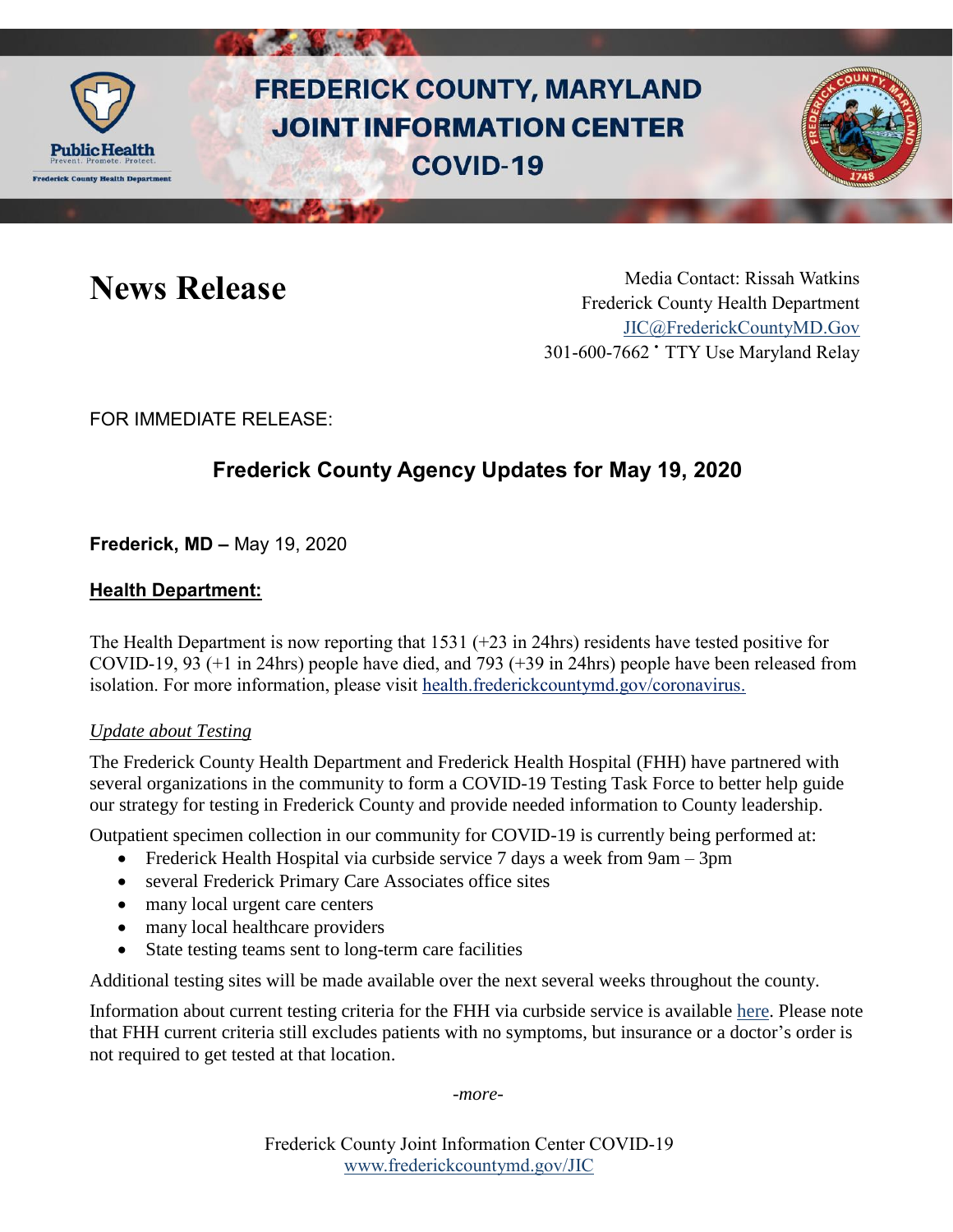

# **FREDERICK COUNTY, MARYLAND JOINT INFORMATION CENTER COVID-19**



News Release Media Contact: Rissah Watkins Frederick County Health Department [JIC@FrederickCountyMD.Gov](mailto:JIC@FrederickCountyMD.Gov) 301-600-7662 • TTY Use Maryland Relay

FOR IMMEDIATE RELEASE:

## **Frederick County Agency Updates for May 19, 2020**

**Frederick, MD –** May 19, 2020

### **Health Department:**

The Health Department is now reporting that 1531 (+23 in 24hrs) residents have tested positive for COVID-19, 93 (+1 in 24hrs) people have died, and 793 (+39 in 24hrs) people have been released from isolation. For more information, please visit [health.frederickcountymd.gov/coronavirus.](https://health.frederickcountymd.gov/614/Novel-Coronavirus-COVID-19)

### *Update about Testing*

The Frederick County Health Department and Frederick Health Hospital (FHH) have partnered with several organizations in the community to form a COVID-19 Testing Task Force to better help guide our strategy for testing in Frederick County and provide needed information to County leadership.

Outpatient specimen collection in our community for COVID-19 is currently being performed at:

- Frederick Health Hospital via curbside service 7 days a week from 9am 3pm
- several Frederick Primary Care Associates office sites
- many local urgent care centers
- many local healthcare providers
- State testing teams sent to long-term care facilities

Additional testing sites will be made available over the next several weeks throughout the county.

Information about current testing criteria for the FHH via curbside service is available [here.](https://www.frederickhealth.org/News-Calendar/News/2020/March/Frederick-Health-to-Begin-Offering-COVID-19-Curb.aspx) Please note that FHH current criteria still excludes patients with no symptoms, but insurance or a doctor's order is not required to get tested at that location.

*-more-*